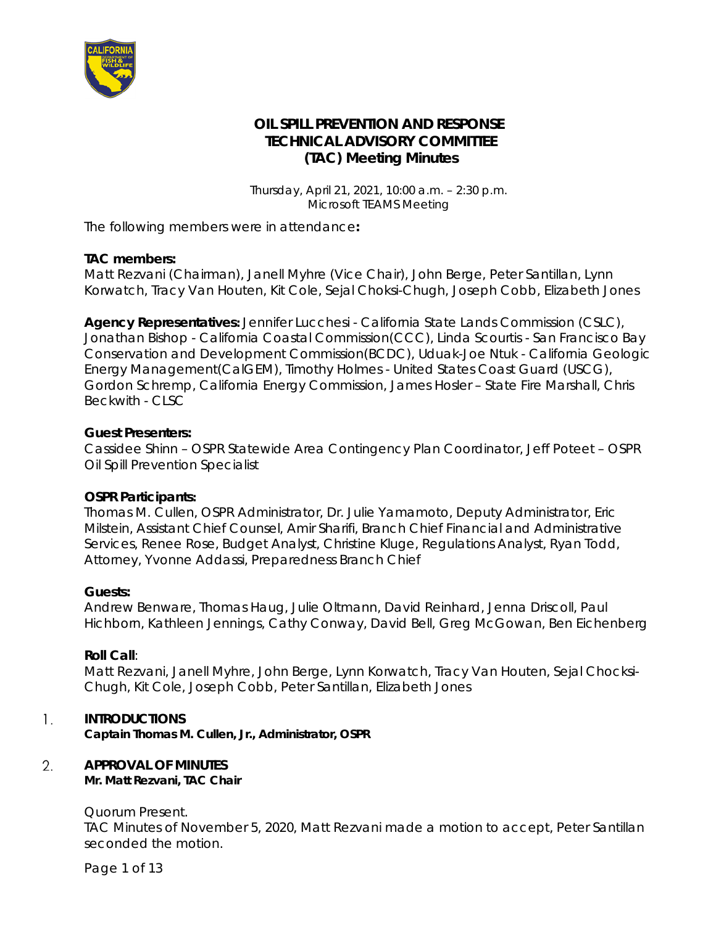

# **OIL SPILL PREVENTION AND RESPONSE TECHNICAL ADVISORY COMMITTEE (TAC) Meeting Minutes**

*Thursday, April 21, 2021, 10:00 a.m. – 2:30 p.m. Microsoft TEAMS Meeting*

The following members were in attendance**:** 

### **TAC members:**

Matt Rezvani (Chairman), Janell Myhre (Vice Chair*),* John Berge, Peter Santillan, Lynn Korwatch, Tracy Van Houten, Kit Cole, Sejal Choksi-Chugh*,* Joseph Cobb, Elizabeth Jones

**Agency Representatives***:* Jennifer Lucchesi - California State Lands Commission (CSLC), Jonathan Bishop - California Coastal Commission(CCC), Linda Scourtis - San Francisco Bay Conservation and Development Commission(BCDC), Uduak-Joe Ntuk - California Geologic Energy Management(CalGEM), Timothy Holmes - United States Coast Guard (USCG), Gordon Schremp, California Energy Commission, James Hosler – State Fire Marshall, Chris Beckwith - CLSC

### **Guest Presenters:**

Cassidee Shinn – OSPR Statewide Area Contingency Plan Coordinator, Jeff Poteet – OSPR Oil Spill Prevention Specialist

#### **OSPR Participants***:*

Thomas M. Cullen, OSPR Administrator, Dr. Julie Yamamoto, Deputy Administrator, Eric Milstein, Assistant Chief Counsel, Amir Sharifi, Branch Chief Financial and Administrative Services, Renee Rose, Budget Analyst, Christine Kluge, Regulations Analyst, Ryan Todd, Attorney, Yvonne Addassi, Preparedness Branch Chief

#### **Guests:**

Andrew Benware, Thomas Haug, Julie Oltmann, David Reinhard, Jenna Driscoll, Paul Hichborn, Kathleen Jennings, Cathy Conway, David Bell, Greg McGowan, Ben Eichenberg

### **Roll Call**:

Matt Rezvani, Janell Myhre, John Berge, Lynn Korwatch, Tracy Van Houten, Sejal Chocksi-Chugh, Kit Cole, Joseph Cobb, Peter Santillan, Elizabeth Jones

#### $\mathbf{1}$ . **INTRODUCTIONS**

*Captain Thomas M. Cullen, Jr., Administrator, OSPR*

#### 2. **APPROVAL OF MINUTES**

*Mr. Matt Rezvani, TAC Chair*

#### Quorum Present.

TAC Minutes of November 5, 2020, Matt Rezvani made a motion to accept, Peter Santillan seconded the motion.

Page 1 of 13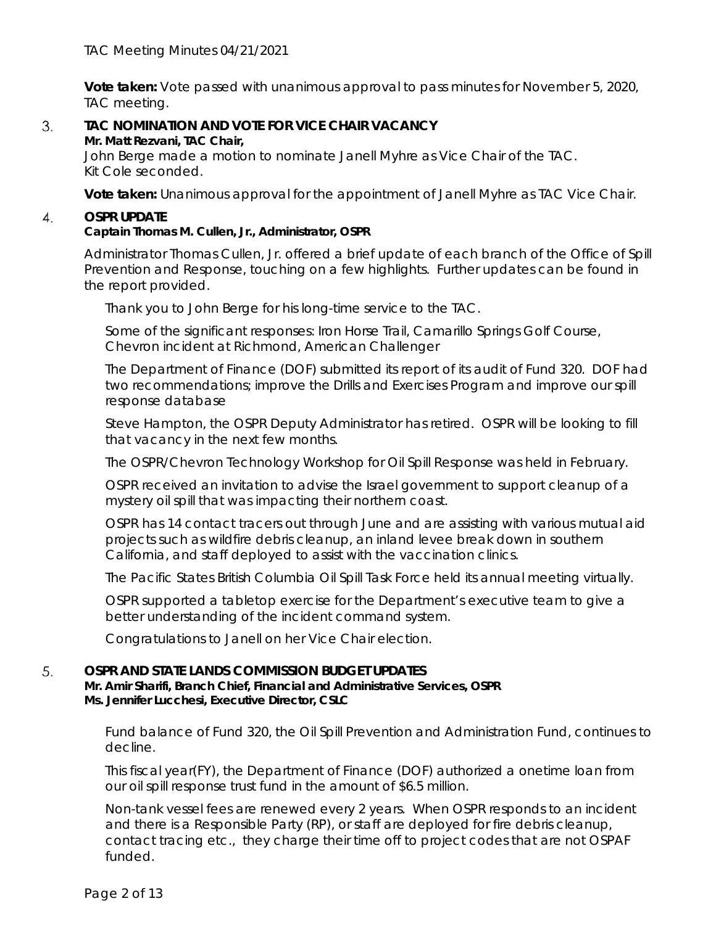**Vote taken:** Vote passed with unanimous approval to pass minutes for November 5, 2020, TAC meeting.

#### 3. **TAC NOMINATION AND VOTE FOR VICE CHAIR VACANCY** *Mr. Matt Rezvani, TAC Chair,*

John Berge made a motion to nominate Janell Myhre as Vice Chair of the TAC. Kit Cole seconded.

**Vote taken:** Unanimous approval for the appointment of Janell Myhre as TAC Vice Chair.

#### 4. **OSPR UPDATE**

# *Captain Thomas M. Cullen, Jr., Administrator, OSPR*

Administrator Thomas Cullen, Jr. offered a brief update of each branch of the Office of Spill Prevention and Response, touching on a few highlights. Further updates can be found in the report provided.

Thank you to John Berge for his long-time service to the TAC.

Some of the significant responses: Iron Horse Trail, Camarillo Springs Golf Course, Chevron incident at Richmond, American Challenger

The Department of Finance (DOF) submitted its report of its audit of Fund 320. DOF had two recommendations; improve the Drills and Exercises Program and improve our spill response database

Steve Hampton, the OSPR Deputy Administrator has retired. OSPR will be looking to fill that vacancy in the next few months.

The OSPR/Chevron Technology Workshop for Oil Spill Response was held in February.

OSPR received an invitation to advise the Israel government to support cleanup of a mystery oil spill that was impacting their northern coast.

OSPR has 14 contact tracers out through June and are assisting with various mutual aid projects such as wildfire debris cleanup, an inland levee break down in southern California, and staff deployed to assist with the vaccination clinics.

The Pacific States British Columbia Oil Spill Task Force held its annual meeting virtually.

OSPR supported a tabletop exercise for the Department's executive team to give a better understanding of the incident command system.

Congratulations to Janell on her Vice Chair election.

#### 5. **OSPR AND STATE LANDS COMMISSION BUDGET UPDATES**

*Mr. Amir Sharifi, Branch Chief, Financial and Administrative Services, OSPR Ms. Jennifer Lucchesi, Executive Director, CSLC*

Fund balance of Fund 320, the Oil Spill Prevention and Administration Fund, continues to decline.

This fiscal year(FY), the Department of Finance (DOF) authorized a onetime loan from our oil spill response trust fund in the amount of \$6.5 million.

Non-tank vessel fees are renewed every 2 years. When OSPR responds to an incident and there is a Responsible Party (RP), or staff are deployed for fire debris cleanup, contact tracing etc., they charge their time off to project codes that are not OSPAF funded.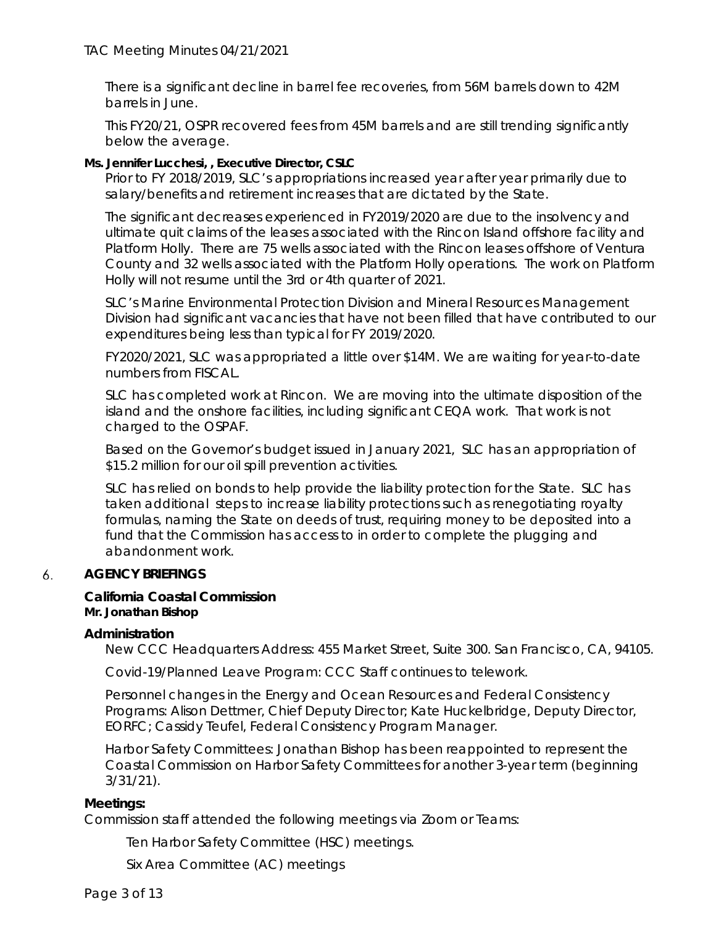There is a significant decline in barrel fee recoveries, from 56M barrels down to 42M barrels in June.

This FY20/21, OSPR recovered fees from 45M barrels and are still trending significantly below the average.

# *Ms. Jennifer Lucchesi, , Executive Director, CSLC*

Prior to FY 2018/2019, SLC's appropriations increased year after year primarily due to salary/benefits and retirement increases that are dictated by the State.

The significant decreases experienced in FY2019/2020 are due to the insolvency and ultimate quit claims of the leases associated with the Rincon Island offshore facility and Platform Holly. There are 75 wells associated with the Rincon leases offshore of Ventura County and 32 wells associated with the Platform Holly operations. The work on Platform Holly will not resume until the 3rd or 4th quarter of 2021.

SLC's Marine Environmental Protection Division and Mineral Resources Management Division had significant vacancies that have not been filled that have contributed to our expenditures being less than typical for FY 2019/2020.

FY2020/2021, SLC was appropriated a little over \$14M. We are waiting for year-to-date numbers from FISCAL.

SLC has completed work at Rincon. We are moving into the ultimate disposition of the island and the onshore facilities, including significant CEQA work. That work is not charged to the OSPAF.

Based on the Governor's budget issued in January 2021, SLC has an appropriation of \$15.2 million for our oil spill prevention activities.

SLC has relied on bonds to help provide the liability protection for the State. SLC has taken additional steps to increase liability protections such as renegotiating royalty formulas, naming the State on deeds of trust, requiring money to be deposited into a fund that the Commission has access to in order to complete the plugging and abandonment work.

#### 6. **AGENCY BRIEFINGS**

#### **California Coastal Commission** *Mr. Jonathan Bishop*

### **Administration**

New CCC Headquarters Address: 455 Market Street, Suite 300. San Francisco, CA, 94105.

Covid-19/Planned Leave Program: CCC Staff continues to telework.

Personnel changes in the Energy and Ocean Resources and Federal Consistency Programs: Alison Dettmer, Chief Deputy Director; Kate Huckelbridge, Deputy Director, EORFC; Cassidy Teufel, Federal Consistency Program Manager.

Harbor Safety Committees: Jonathan Bishop has been reappointed to represent the Coastal Commission on Harbor Safety Committees for another 3-year term (beginning 3/31/21).

### **Meetings:**

Commission staff attended the following meetings via Zoom or Teams:

Ten Harbor Safety Committee (HSC) meetings.

Six Area Committee (AC) meetings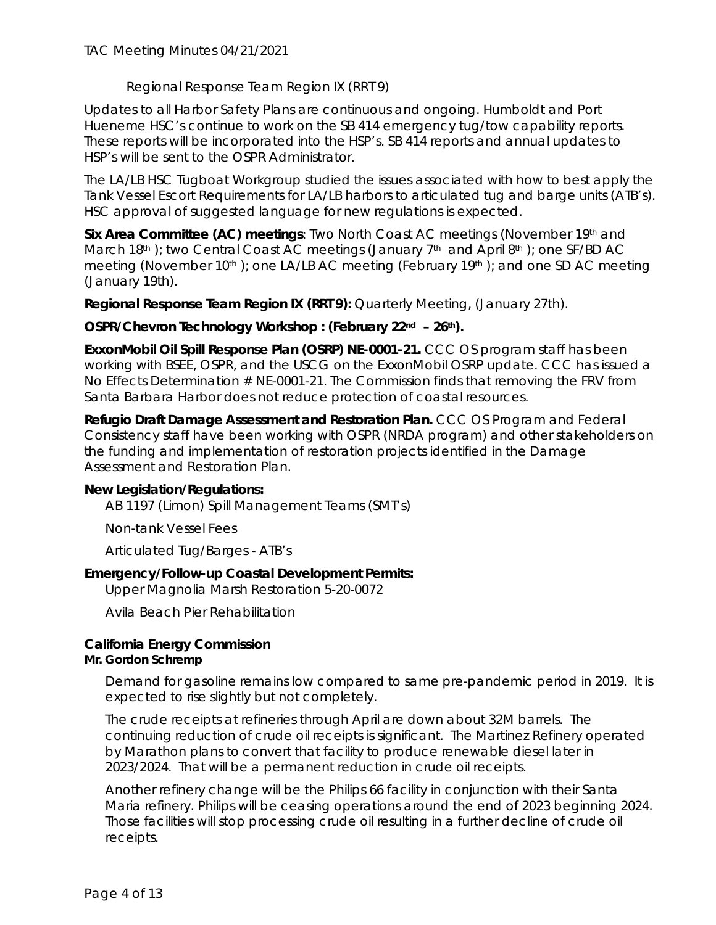Regional Response Team Region IX (RRT 9)

Updates to all Harbor Safety Plans are continuous and ongoing. Humboldt and Port Hueneme HSC's continue to work on the SB 414 emergency tug/tow capability reports. These reports will be incorporated into the HSP's. SB 414 reports and annual updates to HSP's will be sent to the OSPR Administrator.

The LA/LB HSC Tugboat Workgroup studied the issues associated with how to best apply the Tank Vessel Escort Requirements for LA/LB harbors to articulated tug and barge units (ATB's). HSC approval of suggested language for new regulations is expected.

**Six Area Committee (AC) meetings:** Two North Coast AC meetings (November 19<sup>th</sup> and March 18th ); two Central Coast AC meetings (January 7th and April 8th ); one SF/BD AC meeting (November 10<sup>th</sup>); one LA/LB AC meeting (February 19<sup>th</sup>); and one SD AC meeting (January 19th).

**Regional Response Team Region IX (RRT 9):** Quarterly Meeting, (January 27th).

# OSPR/Chevron Technology Workshop : (February 22<sup>nd</sup> - 26<sup>th</sup>).

**ExxonMobil Oil Spill Response Plan (OSRP) NE-0001-21.** CCC OS program staff has been working with BSEE, OSPR, and the USCG on the ExxonMobil OSRP update. CCC has issued a No Effects Determination # NE-0001-21. The Commission finds that removing the FRV from Santa Barbara Harbor does not reduce protection of coastal resources.

**Refugio Draft Damage Assessment and Restoration Plan.** CCC OS Program and Federal Consistency staff have been working with OSPR (NRDA program) and other stakeholders on the funding and implementation of restoration projects identified in the Damage Assessment and Restoration Plan.

### **New Legislation/Regulations:**

AB 1197 (Limon) Spill Management Teams (SMT's)

Non-tank Vessel Fees

Articulated Tug/Barges - ATB's

# **Emergency/Follow-up Coastal Development Permits:**

Upper Magnolia Marsh Restoration 5-20-0072

Avila Beach Pier Rehabilitation

# **California Energy Commission**

### *Mr. Gordon Schremp*

Demand for gasoline remains low compared to same pre-pandemic period in 2019. It is expected to rise slightly but not completely.

The crude receipts at refineries through April are down about 32M barrels. The continuing reduction of crude oil receipts is significant. The Martinez Refinery operated by Marathon plans to convert that facility to produce renewable diesel later in 2023/2024. That will be a permanent reduction in crude oil receipts.

Another refinery change will be the Philips 66 facility in conjunction with their Santa Maria refinery. Philips will be ceasing operations around the end of 2023 beginning 2024. Those facilities will stop processing crude oil resulting in a further decline of crude oil receipts.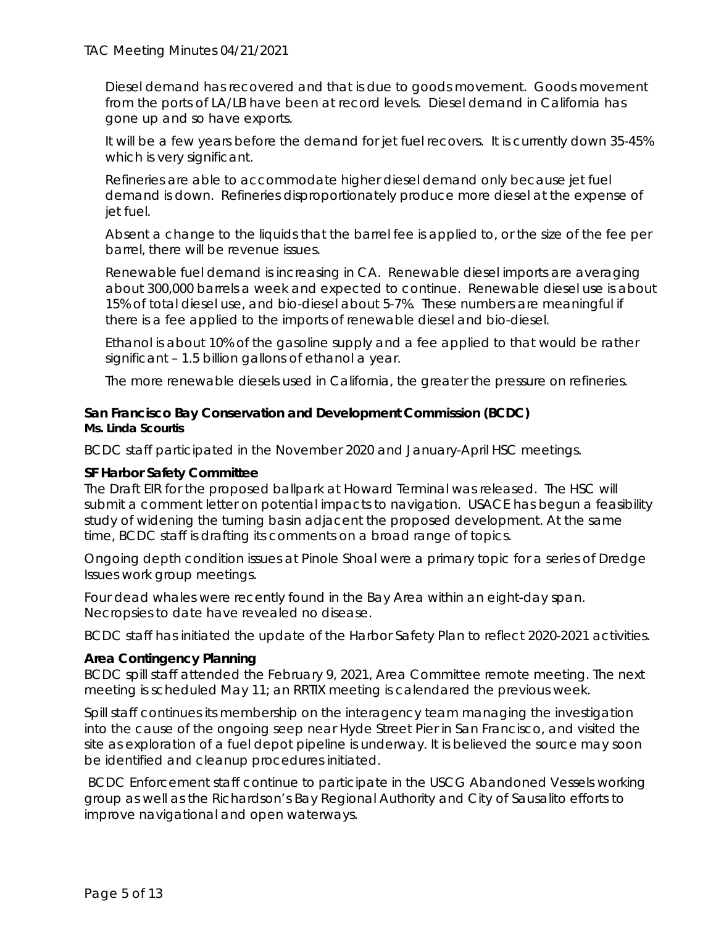Diesel demand has recovered and that is due to goods movement. Goods movement from the ports of LA/LB have been at record levels. Diesel demand in California has gone up and so have exports.

It will be a few years before the demand for jet fuel recovers. It is currently down 35-45% which is very significant.

Refineries are able to accommodate higher diesel demand only because jet fuel demand is down. Refineries disproportionately produce more diesel at the expense of jet fuel.

Absent a change to the liquids that the barrel fee is applied to, or the size of the fee per barrel, there will be revenue issues.

Renewable fuel demand is increasing in CA. Renewable diesel imports are averaging about 300,000 barrels a week and expected to continue. Renewable diesel use is about 15% of total diesel use, and bio-diesel about 5-7%. These numbers are meaningful if there is a fee applied to the imports of renewable diesel and bio-diesel.

Ethanol is about 10% of the gasoline supply and a fee applied to that would be rather significant – 1.5 billion gallons of ethanol a year.

The more renewable diesels used in California, the greater the pressure on refineries.

# **San Francisco Bay Conservation and Development Commission (BCDC)** *Ms. Linda Scourtis*

BCDC staff participated in the November 2020 and January-April HSC meetings.

### **SF Harbor Safety Committee**

The Draft EIR for the proposed ballpark at Howard Terminal was released. The HSC will submit a comment letter on potential impacts to navigation. USACE has begun a feasibility study of widening the turning basin adjacent the proposed development. At the same time, BCDC staff is drafting its comments on a broad range of topics.

Ongoing depth condition issues at Pinole Shoal were a primary topic for a series of Dredge Issues work group meetings.

Four dead whales were recently found in the Bay Area within an eight-day span. Necropsies to date have revealed no disease.

BCDC staff has initiated the update of the Harbor Safety Plan to reflect 2020-2021 activities.

### **Area Contingency Planning**

BCDC spill staff attended the February 9, 2021, Area Committee remote meeting. The next meeting is scheduled May 11; an RRTIX meeting is calendared the previous week.

Spill staff continues its membership on the interagency team managing the investigation into the cause of the ongoing seep near Hyde Street Pier in San Francisco, and visited the site as exploration of a fuel depot pipeline is underway. It is believed the source may soon be identified and cleanup procedures initiated.

BCDC Enforcement staff continue to participate in the USCG Abandoned Vessels working group as well as the Richardson's Bay Regional Authority and City of Sausalito efforts to improve navigational and open waterways.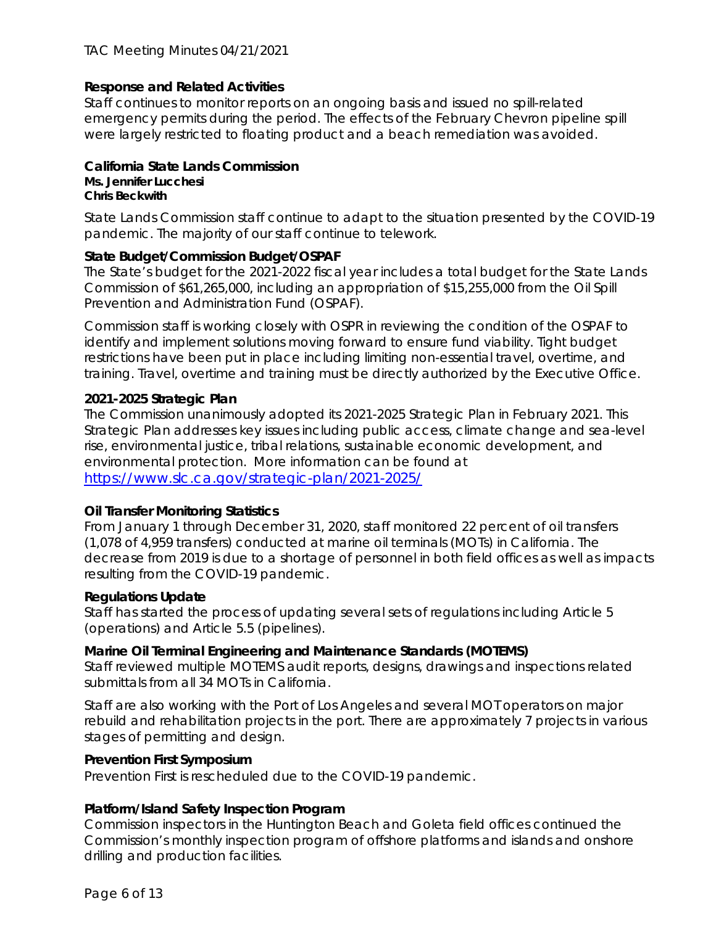# **Response and Related Activities**

Staff continues to monitor reports on an ongoing basis and issued no spill-related emergency permits during the period. The effects of the February Chevron pipeline spill were largely restricted to floating product and a beach remediation was avoided.

# **California State Lands Commission**

#### *Ms. Jennifer Lucchesi Chris Beckwith*

State Lands Commission staff continue to adapt to the situation presented by the COVID-19 pandemic. The majority of our staff continue to telework.

# **State Budget/Commission Budget/OSPAF**

The State's budget for the 2021-2022 fiscal year includes a total budget for the State Lands Commission of \$61,265,000, including an appropriation of \$15,255,000 from the Oil Spill Prevention and Administration Fund (OSPAF).

Commission staff is working closely with OSPR in reviewing the condition of the OSPAF to identify and implement solutions moving forward to ensure fund viability. Tight budget restrictions have been put in place including limiting non-essential travel, overtime, and training. Travel, overtime and training must be directly authorized by the Executive Office.

# **2021-2025 Strategic Plan**

The Commission unanimously adopted its 2021-2025 Strategic Plan in February 2021. This Strategic Plan addresses key issues including public access, climate change and sea-level rise, environmental justice, tribal relations, sustainable economic development, and environmental protection. More information can be found at <https://www.slc.ca.gov/strategic-plan/2021-2025/>

# **Oil Transfer Monitoring Statistics**

From January 1 through December 31, 2020, staff monitored 22 percent of oil transfers (1,078 of 4,959 transfers) conducted at marine oil terminals (MOTs) in California. The decrease from 2019 is due to a shortage of personnel in both field offices as well as impacts resulting from the COVID-19 pandemic.

### **Regulations Update**

Staff has started the process of updating several sets of regulations including Article 5 (operations) and Article 5.5 (pipelines).

### **Marine Oil Terminal Engineering and Maintenance Standards (MOTEMS)**

Staff reviewed multiple MOTEMS audit reports, designs, drawings and inspections related submittals from all 34 MOTs in California.

Staff are also working with the Port of Los Angeles and several MOT operators on major rebuild and rehabilitation projects in the port. There are approximately 7 projects in various stages of permitting and design.

### **Prevention First Symposium**

Prevention First is rescheduled due to the COVID-19 pandemic.

# **Platform/Island Safety Inspection Program**

Commission inspectors in the Huntington Beach and Goleta field offices continued the Commission's monthly inspection program of offshore platforms and islands and onshore drilling and production facilities.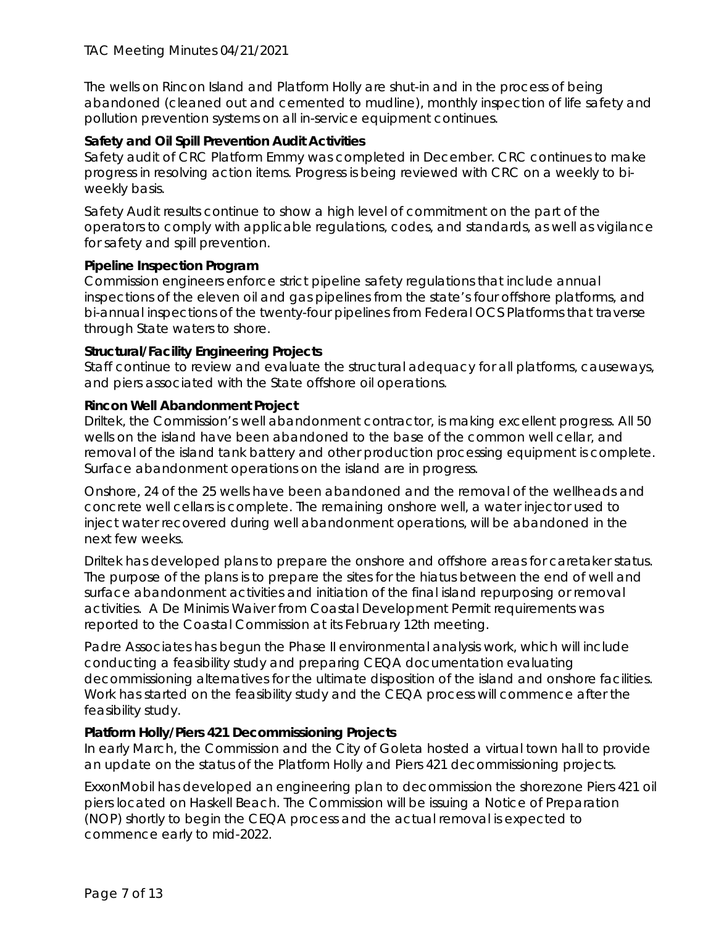The wells on Rincon Island and Platform Holly are shut-in and in the process of being abandoned (cleaned out and cemented to mudline), monthly inspection of life safety and pollution prevention systems on all in-service equipment continues.

# **Safety and Oil Spill Prevention Audit Activities**

Safety audit of CRC Platform Emmy was completed in December. CRC continues to make progress in resolving action items. Progress is being reviewed with CRC on a weekly to biweekly basis.

Safety Audit results continue to show a high level of commitment on the part of the operators to comply with applicable regulations, codes, and standards, as well as vigilance for safety and spill prevention.

### **Pipeline Inspection Program**

Commission engineers enforce strict pipeline safety regulations that include annual inspections of the eleven oil and gas pipelines from the state's four offshore platforms, and bi-annual inspections of the twenty-four pipelines from Federal OCS Platforms that traverse through State waters to shore.

### **Structural/Facility Engineering Projects**

Staff continue to review and evaluate the structural adequacy for all platforms, causeways, and piers associated with the State offshore oil operations.

### **Rincon Well Abandonment Project**

Driltek, the Commission's well abandonment contractor, is making excellent progress. All 50 wells on the island have been abandoned to the base of the common well cellar, and removal of the island tank battery and other production processing equipment is complete. Surface abandonment operations on the island are in progress.

Onshore, 24 of the 25 wells have been abandoned and the removal of the wellheads and concrete well cellars is complete. The remaining onshore well, a water injector used to inject water recovered during well abandonment operations, will be abandoned in the next few weeks.

Driltek has developed plans to prepare the onshore and offshore areas for caretaker status. The purpose of the plans is to prepare the sites for the hiatus between the end of well and surface abandonment activities and initiation of the final island repurposing or removal activities. A De Minimis Waiver from Coastal Development Permit requirements was reported to the Coastal Commission at its February 12th meeting.

Padre Associates has begun the Phase II environmental analysis work, which will include conducting a feasibility study and preparing CEQA documentation evaluating decommissioning alternatives for the ultimate disposition of the island and onshore facilities. Work has started on the feasibility study and the CEQA process will commence after the feasibility study.

### **Platform Holly/Piers 421 Decommissioning Projects**

In early March, the Commission and the City of Goleta hosted a virtual town hall to provide an update on the status of the Platform Holly and Piers 421 decommissioning projects.

ExxonMobil has developed an engineering plan to decommission the shorezone Piers 421 oil piers located on Haskell Beach. The Commission will be issuing a Notice of Preparation (NOP) shortly to begin the CEQA process and the actual removal is expected to commence early to mid-2022.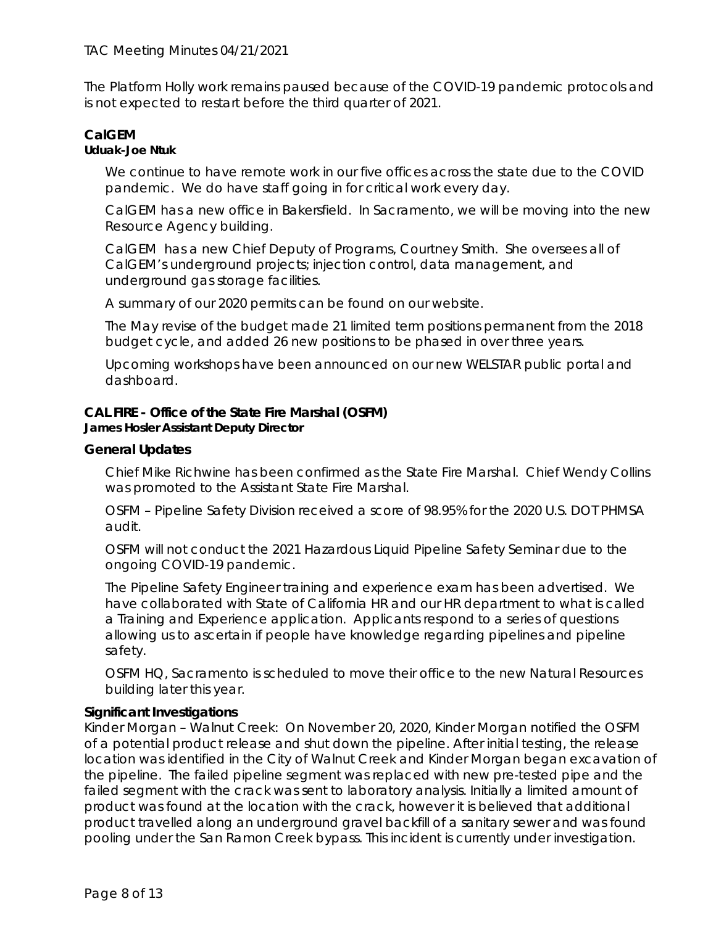The Platform Holly work remains paused because of the COVID-19 pandemic protocols and is not expected to restart before the third quarter of 2021.

# **CalGEM**

### *Uduak-Joe Ntuk*

We continue to have remote work in our five offices across the state due to the COVID pandemic. We do have staff going in for critical work every day.

CalGEM has a new office in Bakersfield. In Sacramento, we will be moving into the new Resource Agency building.

CalGEM has a new Chief Deputy of Programs, Courtney Smith. She oversees all of CalGEM's underground projects; injection control, data management, and underground gas storage facilities.

A summary of our 2020 permits can be found on our website.

The May revise of the budget made 21 limited term positions permanent from the 2018 budget cycle, and added 26 new positions to be phased in over three years.

Upcoming workshops have been announced on our new WELSTAR public portal and dashboard.

# **CAL FIRE - Office of the State Fire Marshal (OSFM)**

#### *James Hosler Assistant Deputy Director*

# **General Updates**

Chief Mike Richwine has been confirmed as the State Fire Marshal. Chief Wendy Collins was promoted to the Assistant State Fire Marshal.

OSFM – Pipeline Safety Division received a score of 98.95% for the 2020 U.S. DOT PHMSA audit.

OSFM will not conduct the 2021 Hazardous Liquid Pipeline Safety Seminar due to the ongoing COVID-19 pandemic.

The Pipeline Safety Engineer training and experience exam has been advertised. We have collaborated with State of California HR and our HR department to what is called a Training and Experience application. Applicants respond to a series of questions allowing us to ascertain if people have knowledge regarding pipelines and pipeline safety.

OSFM HQ, Sacramento is scheduled to move their office to the new Natural Resources building later this year.

### **Significant Investigations**

Kinder Morgan – Walnut Creek: On November 20, 2020, Kinder Morgan notified the OSFM of a potential product release and shut down the pipeline. After initial testing, the release location was identified in the City of Walnut Creek and Kinder Morgan began excavation of the pipeline. The failed pipeline segment was replaced with new pre-tested pipe and the failed segment with the crack was sent to laboratory analysis. Initially a limited amount of product was found at the location with the crack, however it is believed that additional product travelled along an underground gravel backfill of a sanitary sewer and was found pooling under the San Ramon Creek bypass. This incident is currently under investigation.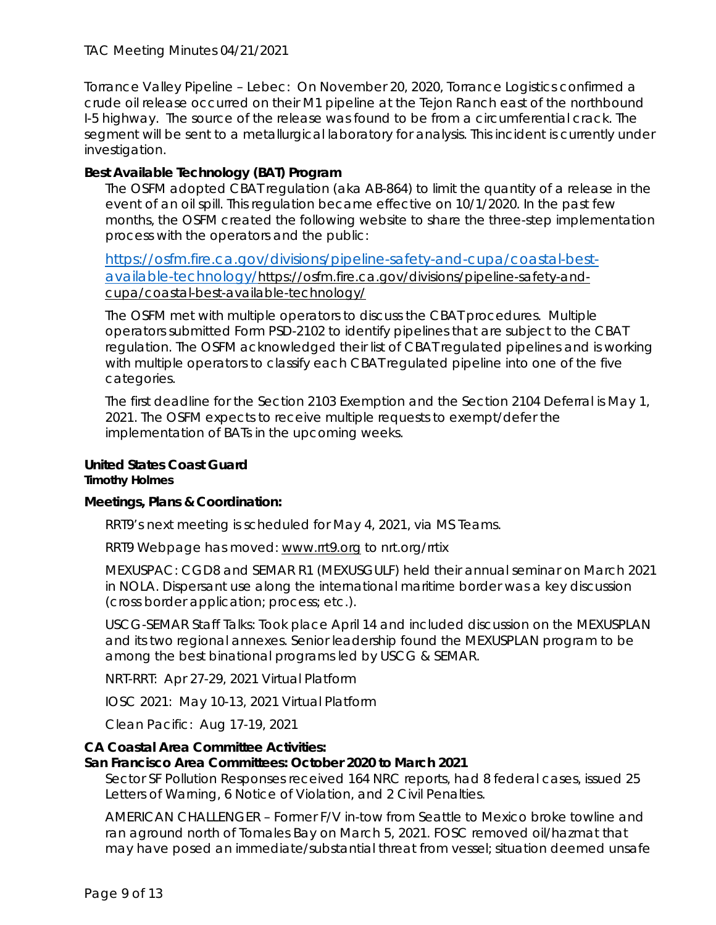## TAC Meeting Minutes 04/21/2021

Torrance Valley Pipeline – Lebec: On November 20, 2020, Torrance Logistics confirmed a crude oil release occurred on their M1 pipeline at the Tejon Ranch east of the northbound I-5 highway. The source of the release was found to be from a circumferential crack. The segment will be sent to a metallurgical laboratory for analysis. This incident is currently under investigation.

## **Best Available Technology (BAT) Program**

The OSFM adopted CBAT regulation (aka AB-864) to limit the quantity of a release in the event of an oil spill. This regulation became effective on 10/1/2020. In the past few months, the OSFM created the following website to share the three-step implementation process with the operators and the public:

[https://osfm.fire.ca.gov/divisions/pipeline-safety-and-cupa/coastal-best](https://osfm.fire.ca.gov/divisions/pipeline-safety-and-cupa/coastal-best-available-technology/)[available-technology/https://osfm.fire.ca.gov/divisions/pipeline-safety-and](https://osfm.fire.ca.gov/divisions/pipeline-safety-and-cupa/coastal-best-available-technology/)[cupa/coastal-best-available-technology/](https://osfm.fire.ca.gov/divisions/pipeline-safety-and-cupa/coastal-best-available-technology/) 

The OSFM met with multiple operators to discuss the CBAT procedures. Multiple operators submitted Form PSD-2102 to identify pipelines that are subject to the CBAT regulation. The OSFM acknowledged their list of CBAT regulated pipelines and is working with multiple operators to classify each CBAT regulated pipeline into one of the five categories.

The first deadline for the Section 2103 Exemption and the Section 2104 Deferral is May 1, 2021. The OSFM expects to receive multiple requests to exempt/defer the implementation of BATs in the upcoming weeks.

#### **United States Coast Guard** *Timothy Holmes*

### **Meetings, Plans & Coordination:**

RRT9's next meeting is scheduled for May 4, 2021, via MS Teams.

RRT9 Webpage has moved: [www.rrt9.org](http://www.rrt9.org/) to nrt.org/rrtix

MEXUSPAC: CGD8 and SEMAR R1 (MEXUSGULF) held their annual seminar on March 2021 in NOLA. Dispersant use along the international maritime border was a key discussion (cross border application; process; etc.).

USCG-SEMAR Staff Talks: Took place April 14 and included discussion on the MEXUSPLAN and its two regional annexes. Senior leadership found the MEXUSPLAN program to be among the best binational programs led by USCG & SEMAR.

NRT-RRT: Apr 27-29, 2021 Virtual Platform

IOSC 2021: May 10-13, 2021 Virtual Platform

Clean Pacific: Aug 17-19, 2021

### **CA Coastal Area Committee Activities:**

### **San Francisco Area Committees: October 2020 to March 2021**

Sector SF Pollution Responses received 164 NRC reports, had 8 federal cases, issued 25 Letters of Warning, 6 Notice of Violation, and 2 Civil Penalties.

AMERICAN CHALLENGER – Former F/V in-tow from Seattle to Mexico broke towline and ran aground north of Tomales Bay on March 5, 2021. FOSC removed oil/hazmat that may have posed an immediate/substantial threat from vessel; situation deemed unsafe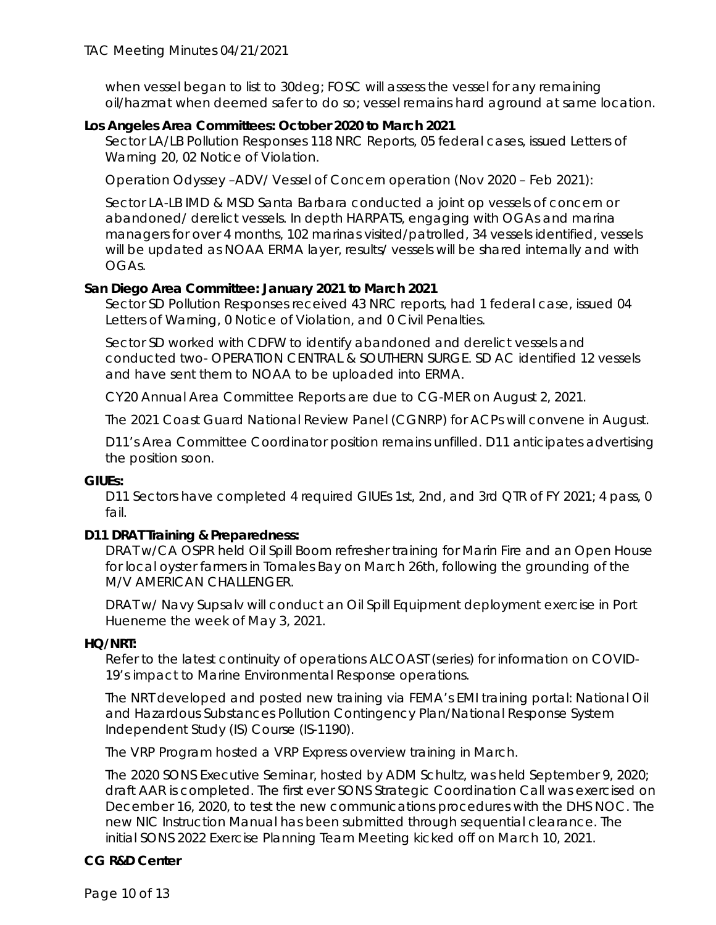when vessel began to list to 30deg; FOSC will assess the vessel for any remaining oil/hazmat when deemed safer to do so; vessel remains hard aground at same location.

# **Los Angeles Area Committees: October 2020 to March 2021**

Sector LA/LB Pollution Responses 118 NRC Reports, 05 federal cases, issued Letters of Warning 20, 02 Notice of Violation.

Operation Odyssey –ADV/ Vessel of Concern operation (Nov 2020 – Feb 2021):

Sector LA-LB IMD & MSD Santa Barbara conducted a joint op vessels of concern or abandoned/ derelict vessels. In depth HARPATS, engaging with OGAs and marina managers for over 4 months, 102 marinas visited/patrolled, 34 vessels identified, vessels will be updated as NOAA ERMA layer, results/ vessels will be shared internally and with OGAs.

# **San Diego Area Committee: January 2021 to March 2021**

Sector SD Pollution Responses received 43 NRC reports, had 1 federal case, issued 04 Letters of Warning, 0 Notice of Violation, and 0 Civil Penalties.

Sector SD worked with CDFW to identify abandoned and derelict vessels and conducted two- OPERATION CENTRAL & SOUTHERN SURGE. SD AC identified 12 vessels and have sent them to NOAA to be uploaded into ERMA.

CY20 Annual Area Committee Reports are due to CG-MER on August 2, 2021.

The 2021 Coast Guard National Review Panel (CGNRP) for ACPs will convene in August.

D11's Area Committee Coordinator position remains unfilled. D11 anticipates advertising the position soon.

### **GIUEs:**

D11 Sectors have completed 4 required GIUEs 1st, 2nd, and 3rd QTR of FY 2021; 4 pass, 0 fail.

# **D11 DRAT Training & Preparedness:**

DRAT w/CA OSPR held Oil Spill Boom refresher training for Marin Fire and an Open House for local oyster farmers in Tomales Bay on March 26th, following the grounding of the M/V AMERICAN CHALLENGER.

DRAT w/ Navy Supsalv will conduct an Oil Spill Equipment deployment exercise in Port Hueneme the week of May 3, 2021.

### **HQ/NRT:**

Refer to the latest continuity of operations ALCOAST (series) for information on COVID-19's impact to Marine Environmental Response operations.

The NRT developed and posted new training via FEMA's EMI training portal: National Oil and Hazardous Substances Pollution Contingency Plan/National Response System Independent Study (IS) Course (IS-1190).

The VRP Program hosted a VRP Express overview training in March.

The 2020 SONS Executive Seminar, hosted by ADM Schultz, was held September 9, 2020; draft AAR is completed. The first ever SONS Strategic Coordination Call was exercised on December 16, 2020, to test the new communications procedures with the DHS NOC. The new NIC Instruction Manual has been submitted through sequential clearance. The initial SONS 2022 Exercise Planning Team Meeting kicked off on March 10, 2021.

# **CG R&D Center**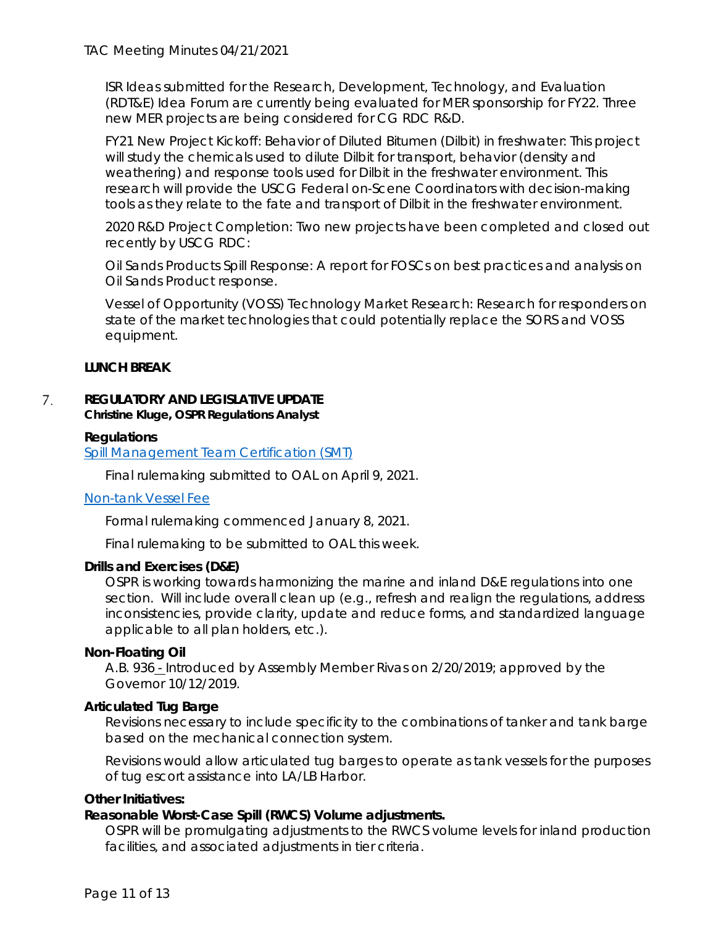ISR Ideas submitted for the Research, Development, Technology, and Evaluation (RDT&E) Idea Forum are currently being evaluated for MER sponsorship for FY22. Three new MER projects are being considered for CG RDC R&D.

FY21 New Project Kickoff: Behavior of Diluted Bitumen (Dilbit) in freshwater: This project will study the chemicals used to dilute Dilbit for transport, behavior (density and weathering) and response tools used for Dilbit in the freshwater environment. This research will provide the USCG Federal on-Scene Coordinators with decision-making tools as they relate to the fate and transport of Dilbit in the freshwater environment.

2020 R&D Project Completion: Two new projects have been completed and closed out recently by USCG RDC:

Oil Sands Products Spill Response: A report for FOSCs on best practices and analysis on Oil Sands Product response.

Vessel of Opportunity (VOSS) Technology Market Research: Research for responders on state of the market technologies that could potentially replace the SORS and VOSS equipment.

# **LUNCH BREAK**

#### 7. **REGULATORY AND LEGISLATIVE UPDATE** *Christine Kluge, OSPR Regulations Analyst*

# **Regulations**

[Spill Management Team Certification \(SMT\)](https://wildlife.ca.gov/OSPR/Legal/Proposed-Regulations/SMT-Certification)

Final rulemaking submitted to OAL on April 9, 2021.

### [Non-tank Vessel Fee](https://wildlife.ca.gov/OSPR/Legal/Proposed-Regulations/Non-Tank-Vessel-Fee)

Formal rulemaking commenced January 8, 2021.

Final rulemaking to be submitted to OAL this week.

### **Drills and Exercises (D&E)**

OSPR is working towards harmonizing the marine and inland D&E regulations into one section. Will include overall clean up (e.g., refresh and realign the regulations, address inconsistencies, provide clarity, update and reduce forms, and standardized language applicable to all plan holders, etc.).

### **Non-Floating Oil**

A.B. 936 - Introduced by Assembly Member Rivas on 2/20/2019; approved by the Governor 10/12/2019.

### **Articulated Tug Barge**

Revisions necessary to include specificity to the combinations of tanker and tank barge based on the mechanical connection system.

Revisions would allow articulated tug barges to operate as tank vessels for the purposes of tug escort assistance into LA/LB Harbor.

### **Other Initiatives:**

# **Reasonable Worst-Case Spill (RWCS) Volume adjustments.**

OSPR will be promulgating adjustments to the RWCS volume levels for inland production facilities, and associated adjustments in tier criteria.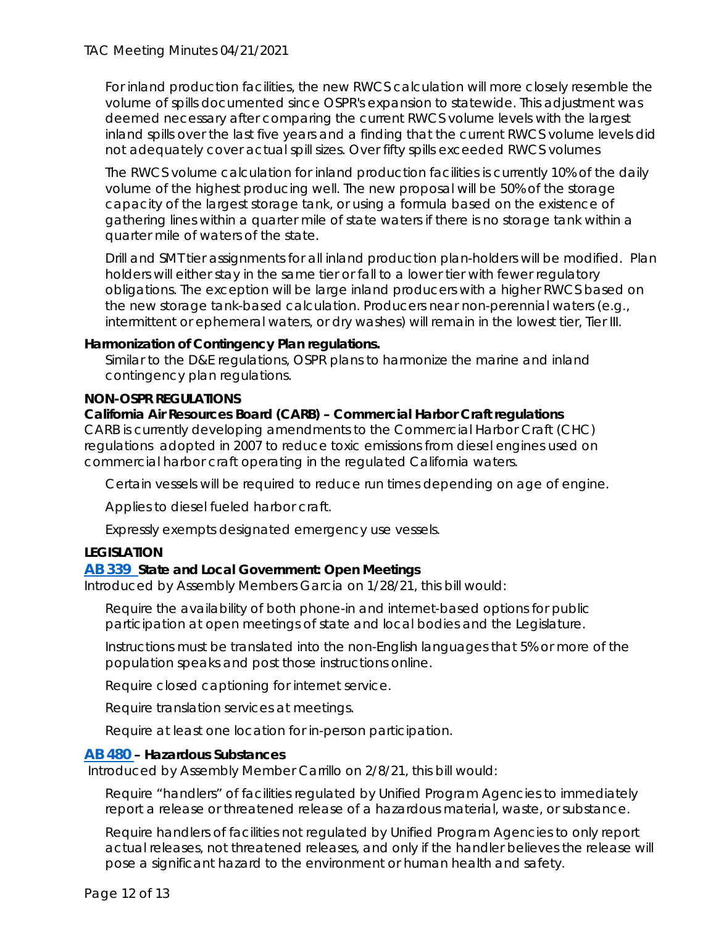For inland production facilities, the new RWCS calculation will more closely resemble the volume of spills documented since OSPR's expansion to statewide. This adjustment was deemed necessary after comparing the current RWCS volume levels with the largest inland spills over the last five years and a finding that the current RWCS volume levels did not adequately cover actual spill sizes. Over fifty spills exceeded RWCS volumes

The RWCS volume calculation for inland production facilities is currently 10% of the daily volume of the highest producing well. The new proposal will be 50% of the storage capacity of the largest storage tank, or using a formula based on the existence of gathering lines within a quarter mile of state waters if there is no storage tank within a quarter mile of waters of the state.

Drill and SMT tier assignments for all inland production plan-holders will be modified. Plan holders will either stay in the same tier or fall to a lower tier with fewer regulatory obligations. The exception will be large inland producers with a higher RWCS based on the new storage tank-based calculation. Producers near non-perennial waters (e.g., intermittent or ephemeral waters, or dry washes) will remain in the lowest tier, Tier III.

### **Harmonization of Contingency Plan regulations.**

Similar to the D&E regulations, OSPR plans to harmonize the marine and inland contingency plan regulations.

# **NON-OSPR REGULATIONS**

# **California Air Resources Board (CARB) – Commercial Harbor Craft regulations**

CARB is currently developing amendments to the Commercial Harbor Craft (CHC) regulations adopted in 2007 to reduce toxic emissions from diesel engines used on commercial harbor craft operating in the regulated California waters.

Certain vessels will be required to reduce run times depending on age of engine.

Applies to diesel fueled harbor craft.

Expressly exempts designated emergency use vessels.

# **LEGISLATION**

### **[AB 339](https://gcc02.safelinks.protection.outlook.com/?url=https%3A%2F%2Fleginfo.legislature.ca.gov%2Ffaces%2FbillTextClient.xhtml%3Fbill_id%3D202120220AB339&data=04%7C01%7CChristine.Kluge%40wildlife.ca.gov%7C5273e67afdf240263cc108d8fab19fa3%7C4b633c25efbf40069f1507442ba7aa0b%7C0%7C0%7C637534988084038466%7CUnknown%7CTWFpbGZsb3d8eyJWIjoiMC4wLjAwMDAiLCJQIjoiV2luMzIiLCJBTiI6Ik1haWwiLCJXVCI6Mn0%3D%7C1000&sdata=SGPIULS977wMwE9tuu7JnONOgyczqypEUTPJ%2FbY3Ua8%3D&reserved=0)** *State and Local Government: Open Meetings*

Introduced by Assembly Members Garcia on 1/28/21, this bill would:

Require the availability of both phone-in and internet-based options for public participation at open meetings of state and local bodies and the Legislature.

Instructions must be translated into the non-English languages that 5% or more of the population speaks and post those instructions online.

Require closed captioning for internet service.

Require translation services at meetings.

Require at least one location for in-person participation.

### **[AB 480](https://gcc02.safelinks.protection.outlook.com/?url=https%3A%2F%2Fleginfo.legislature.ca.gov%2Ffaces%2FbillNavClient.xhtml%3Fbill_id%3D202120220AB480&data=04%7C01%7CChristine.Kluge%40wildlife.ca.gov%7C5273e67afdf240263cc108d8fab19fa3%7C4b633c25efbf40069f1507442ba7aa0b%7C0%7C0%7C637534988084028517%7CUnknown%7CTWFpbGZsb3d8eyJWIjoiMC4wLjAwMDAiLCJQIjoiV2luMzIiLCJBTiI6Ik1haWwiLCJXVCI6Mn0%3D%7C1000&sdata=oBAVln%2BCTns%2BdM4cq7uS03tEbi1wk87wELHI0N7IDL0%3D&reserved=0) –** *Hazardous Substances*

Introduced by Assembly Member Carrillo on 2/8/21, this bill would:

Require "handlers" of facilities regulated by Unified Program Agencies to immediately report a release or threatened release of a hazardous material, waste, or substance.

Require handlers of facilities not regulated by Unified Program Agencies to only report actual releases, not threatened releases, and only if the handler believes the release will pose a significant hazard to the environment or human health and safety.